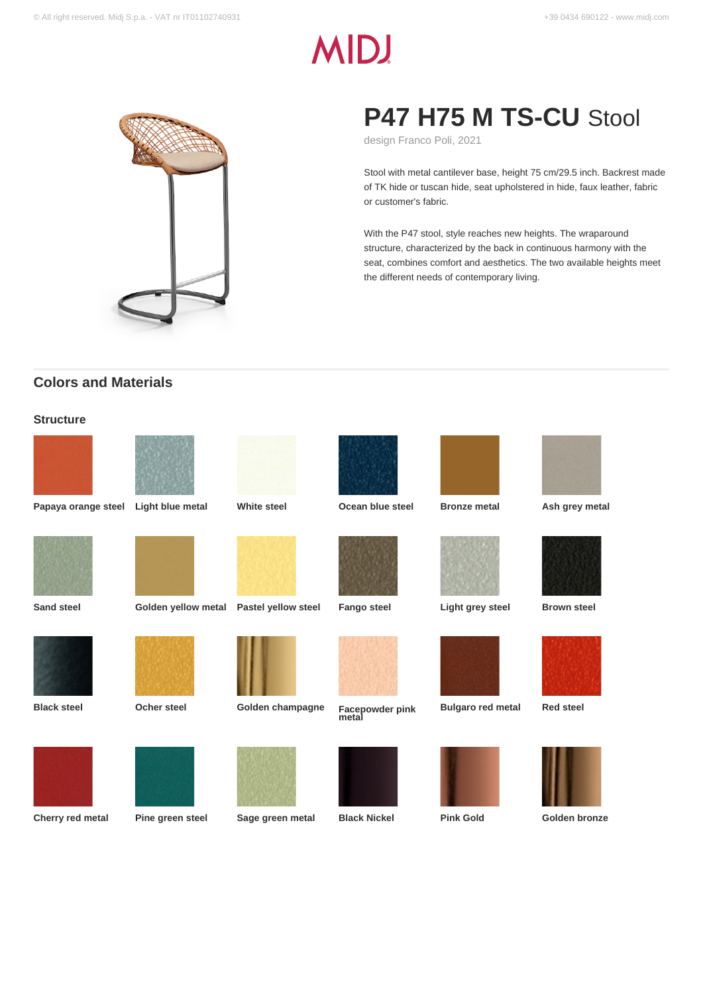# **MIDJ**



## **P47 H75 M TS-CU** Stool

design Franco Poli, 2021

Stool with metal cantilever base, height 75 cm/29.5 inch. Backrest made of TK hide or tuscan hide, seat upholstered in hide, faux leather, fabric or customer's fabric.

With the P47 stool, style reaches new heights. The wraparound structure, characterized by the back in continuous harmony with the seat, combines comfort and aesthetics. The two available heights meet the different needs of contemporary living.

### **Colors and Materials**

#### **Structure**

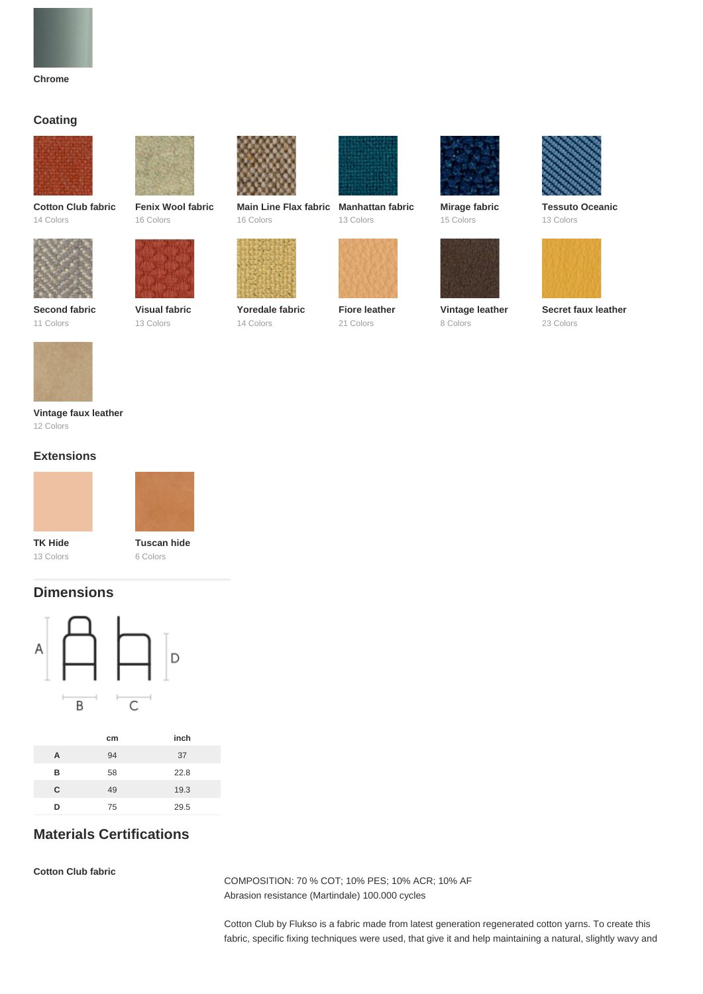

#### **Coating**



**Cotton Club fabric** 14 Colors



**Fenix Wool fabric** 16 Colors



13 Colors

**Second fabric** 11 Colors

**Visual fabric**



**Main Line Flax fabric Manhattan fabric** 16 Colors



**Yoredale fabric** 14 Colors



13 Colors



**Fiore leather** 21 Colors



**Mirage fabric** 15 Colors



**Vintage leather** 8 Colors



**Tessuto Oceanic** 13 Colors



**Secret faux leather** 23 Colors



**Vintage faux leather** 12 Colors

#### **Extensions**





**TK Hide** 13 Colors

**Tuscan hide** 6 Colors

#### **Dimensions**



|   | cm | inch |
|---|----|------|
| A | 94 | 37   |
| в | 58 | 22.8 |
| C | 49 | 19.3 |
| D | 75 | 29.5 |
|   |    |      |

#### **Materials Certifications**

**Cotton Club fabric**

COMPOSITION: 70 % COT; 10% PES; 10% ACR; 10% AF Abrasion resistance (Martindale) 100.000 cycles

Cotton Club by Flukso is a fabric made from latest generation regenerated cotton yarns. To create this fabric, specific fixing techniques were used, that give it and help maintaining a natural, slightly wavy and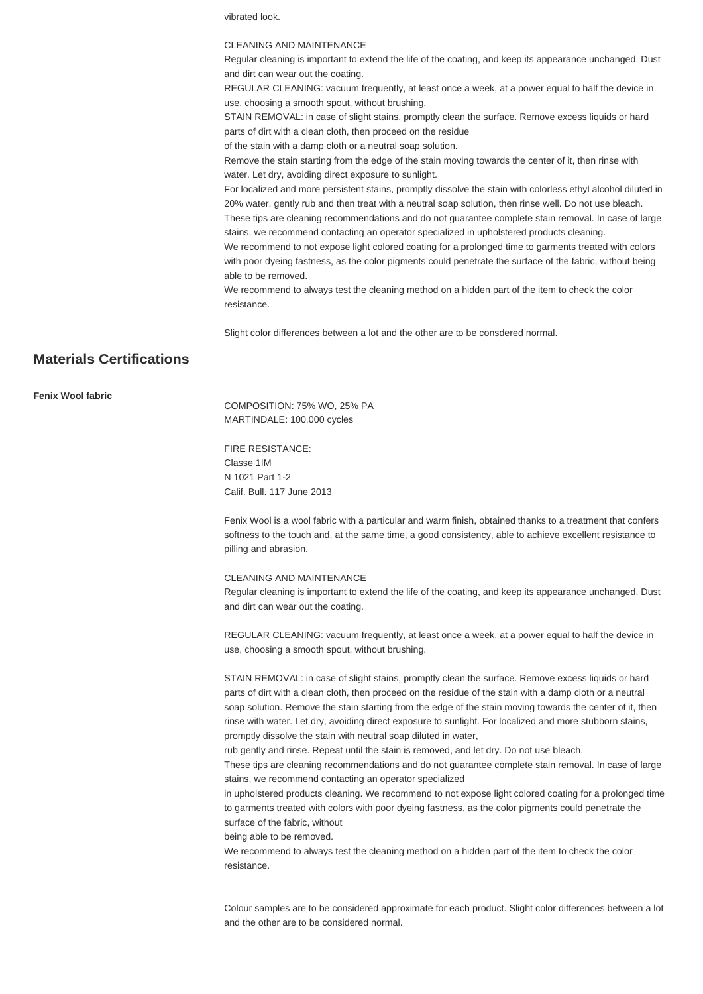vibrated look.

#### CLEANING AND MAINTENANCE

Regular cleaning is important to extend the life of the coating, and keep its appearance unchanged. Dust and dirt can wear out the coating.

REGULAR CLEANING: vacuum frequently, at least once a week, at a power equal to half the device in use, choosing a smooth spout, without brushing.

STAIN REMOVAL: in case of slight stains, promptly clean the surface. Remove excess liquids or hard parts of dirt with a clean cloth, then proceed on the residue

of the stain with a damp cloth or a neutral soap solution.

Remove the stain starting from the edge of the stain moving towards the center of it, then rinse with water. Let dry, avoiding direct exposure to sunlight.

For localized and more persistent stains, promptly dissolve the stain with colorless ethyl alcohol diluted in 20% water, gently rub and then treat with a neutral soap solution, then rinse well. Do not use bleach. These tips are cleaning recommendations and do not guarantee complete stain removal. In case of large

stains, we recommend contacting an operator specialized in upholstered products cleaning. We recommend to not expose light colored coating for a prolonged time to garments treated with colors with poor dyeing fastness, as the color pigments could penetrate the surface of the fabric, without being able to be removed.

We recommend to always test the cleaning method on a hidden part of the item to check the color resistance.

Slight color differences between a lot and the other are to be consdered normal.

#### **Materials Certifications**

**Fenix Wool fabric**

COMPOSITION: 75% WO, 25% PA MARTINDALE: 100.000 cycles

FIRE RESISTANCE: Classe 1IM N 1021 Part 1-2 Calif. Bull. 117 June 2013

Fenix Wool is a wool fabric with a particular and warm finish, obtained thanks to a treatment that confers softness to the touch and, at the same time, a good consistency, able to achieve excellent resistance to pilling and abrasion.

#### CLEANING AND MAINTENANCE

Regular cleaning is important to extend the life of the coating, and keep its appearance unchanged. Dust and dirt can wear out the coating.

REGULAR CLEANING: vacuum frequently, at least once a week, at a power equal to half the device in use, choosing a smooth spout, without brushing.

STAIN REMOVAL: in case of slight stains, promptly clean the surface. Remove excess liquids or hard parts of dirt with a clean cloth, then proceed on the residue of the stain with a damp cloth or a neutral soap solution. Remove the stain starting from the edge of the stain moving towards the center of it, then rinse with water. Let dry, avoiding direct exposure to sunlight. For localized and more stubborn stains, promptly dissolve the stain with neutral soap diluted in water,

rub gently and rinse. Repeat until the stain is removed, and let dry. Do not use bleach.

These tips are cleaning recommendations and do not guarantee complete stain removal. In case of large stains, we recommend contacting an operator specialized

in upholstered products cleaning. We recommend to not expose light colored coating for a prolonged time to garments treated with colors with poor dyeing fastness, as the color pigments could penetrate the surface of the fabric, without

being able to be removed.

We recommend to always test the cleaning method on a hidden part of the item to check the color resistance.

Colour samples are to be considered approximate for each product. Slight color differences between a lot and the other are to be considered normal.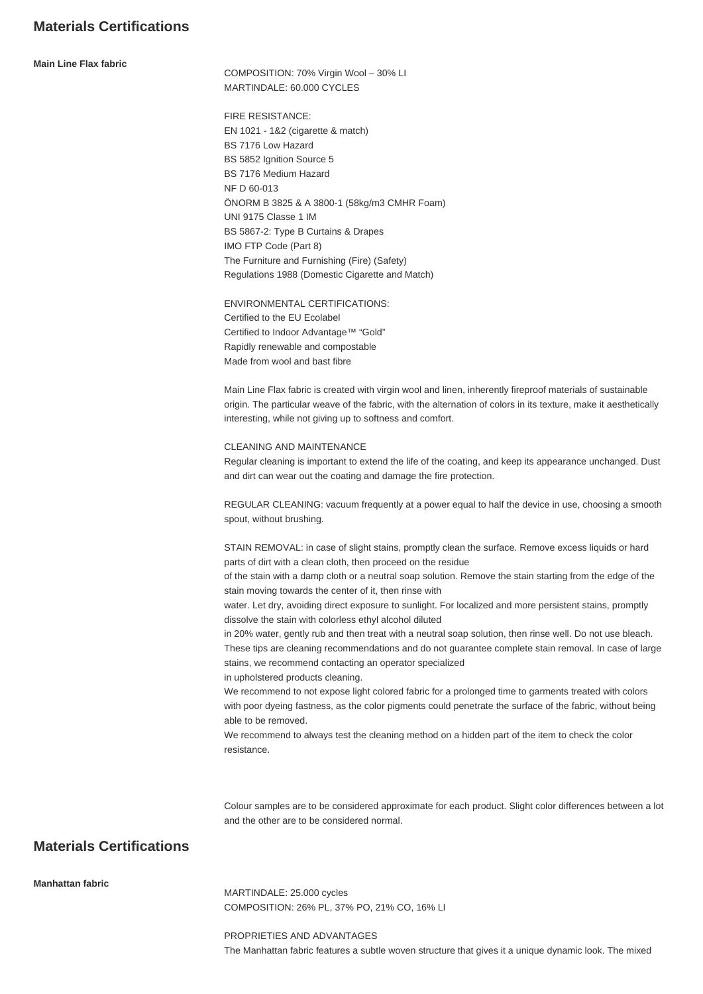#### **Materials Certifications**

**Main Line Flax fabric**

COMPOSITION: 70% Virgin Wool – 30% LI MARTINDALE: 60.000 CYCLES

FIRE RESISTANCE: EN 1021 - 1&2 (cigarette & match) BS 7176 Low Hazard BS 5852 Ignition Source 5 BS 7176 Medium Hazard NF D 60-013 ÖNORM B 3825 & A 3800-1 (58kg/m3 CMHR Foam) UNI 9175 Classe 1 IM BS 5867-2: Type B Curtains & Drapes IMO FTP Code (Part 8) The Furniture and Furnishing (Fire) (Safety) Regulations 1988 (Domestic Cigarette and Match)

ENVIRONMENTAL CERTIFICATIONS: Certified to the EU Ecolabel Certified to Indoor Advantage™ "Gold" Rapidly renewable and compostable Made from wool and bast fibre

Main Line Flax fabric is created with virgin wool and linen, inherently fireproof materials of sustainable origin. The particular weave of the fabric, with the alternation of colors in its texture, make it aesthetically interesting, while not giving up to softness and comfort.

CLEANING AND MAINTENANCE

Regular cleaning is important to extend the life of the coating, and keep its appearance unchanged. Dust and dirt can wear out the coating and damage the fire protection.

REGULAR CLEANING: vacuum frequently at a power equal to half the device in use, choosing a smooth spout, without brushing.

STAIN REMOVAL: in case of slight stains, promptly clean the surface. Remove excess liquids or hard parts of dirt with a clean cloth, then proceed on the residue

of the stain with a damp cloth or a neutral soap solution. Remove the stain starting from the edge of the stain moving towards the center of it, then rinse with

water. Let dry, avoiding direct exposure to sunlight. For localized and more persistent stains, promptly dissolve the stain with colorless ethyl alcohol diluted

in 20% water, gently rub and then treat with a neutral soap solution, then rinse well. Do not use bleach. These tips are cleaning recommendations and do not guarantee complete stain removal. In case of large stains, we recommend contacting an operator specialized

in upholstered products cleaning.

We recommend to not expose light colored fabric for a prolonged time to garments treated with colors with poor dyeing fastness, as the color pigments could penetrate the surface of the fabric, without being able to be removed.

We recommend to always test the cleaning method on a hidden part of the item to check the color resistance.

Colour samples are to be considered approximate for each product. Slight color differences between a lot and the other are to be considered normal.

#### **Materials Certifications**

**Manhattan fabric**

MARTINDALE: 25.000 cycles COMPOSITION: 26% PL, 37% PO, 21% CO, 16% LI

PROPRIETIES AND ADVANTAGES The Manhattan fabric features a subtle woven structure that gives it a unique dynamic look. The mixed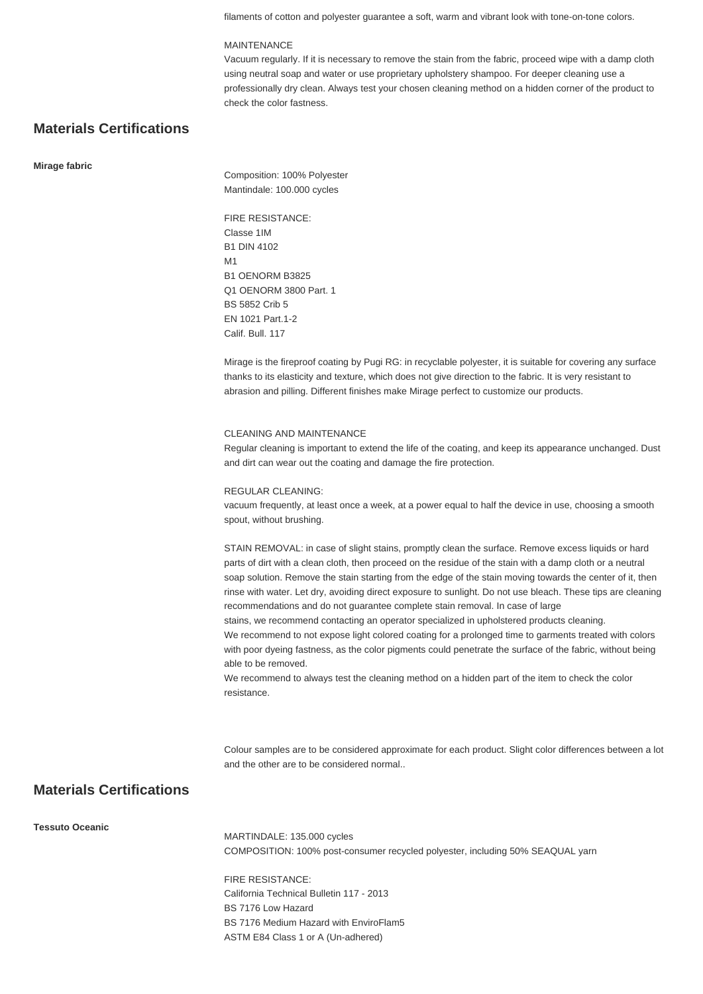filaments of cotton and polyester guarantee a soft, warm and vibrant look with tone-on-tone colors.

#### MAINTENANCE

Vacuum regularly. If it is necessary to remove the stain from the fabric, proceed wipe with a damp cloth using neutral soap and water or use proprietary upholstery shampoo. For deeper cleaning use a professionally dry clean. Always test your chosen cleaning method on a hidden corner of the product to check the color fastness.

#### **Materials Certifications**

#### **Mirage fabric**

Composition: 100% Polyester Mantindale: 100.000 cycles

FIRE RESISTANCE: Classe 1IM B1 DIN 4102 M1 B1 OENORM B3825 Q1 OENORM 3800 Part. 1 BS 5852 Crib 5 EN 1021 Part.1-2 Calif. Bull. 117

Mirage is the fireproof coating by Pugi RG: in recyclable polyester, it is suitable for covering any surface thanks to its elasticity and texture, which does not give direction to the fabric. It is very resistant to abrasion and pilling. Different finishes make Mirage perfect to customize our products.

#### CLEANING AND MAINTENANCE

Regular cleaning is important to extend the life of the coating, and keep its appearance unchanged. Dust and dirt can wear out the coating and damage the fire protection.

#### REGULAR CLEANING:

vacuum frequently, at least once a week, at a power equal to half the device in use, choosing a smooth spout, without brushing.

STAIN REMOVAL: in case of slight stains, promptly clean the surface. Remove excess liquids or hard parts of dirt with a clean cloth, then proceed on the residue of the stain with a damp cloth or a neutral soap solution. Remove the stain starting from the edge of the stain moving towards the center of it, then rinse with water. Let dry, avoiding direct exposure to sunlight. Do not use bleach. These tips are cleaning recommendations and do not guarantee complete stain removal. In case of large

stains, we recommend contacting an operator specialized in upholstered products cleaning.

We recommend to not expose light colored coating for a prolonged time to garments treated with colors with poor dyeing fastness, as the color pigments could penetrate the surface of the fabric, without being able to be removed.

We recommend to always test the cleaning method on a hidden part of the item to check the color resistance.

Colour samples are to be considered approximate for each product. Slight color differences between a lot and the other are to be considered normal..

#### **Materials Certifications**

**Tessuto Oceanic**

MARTINDALE: 135.000 cycles COMPOSITION: 100% post-consumer recycled polyester, including 50% SEAQUAL yarn

FIRE RESISTANCE: California Technical Bulletin 117 - 2013 BS 7176 Low Hazard BS 7176 Medium Hazard with EnviroFlam5 ASTM E84 Class 1 or A (Un-adhered)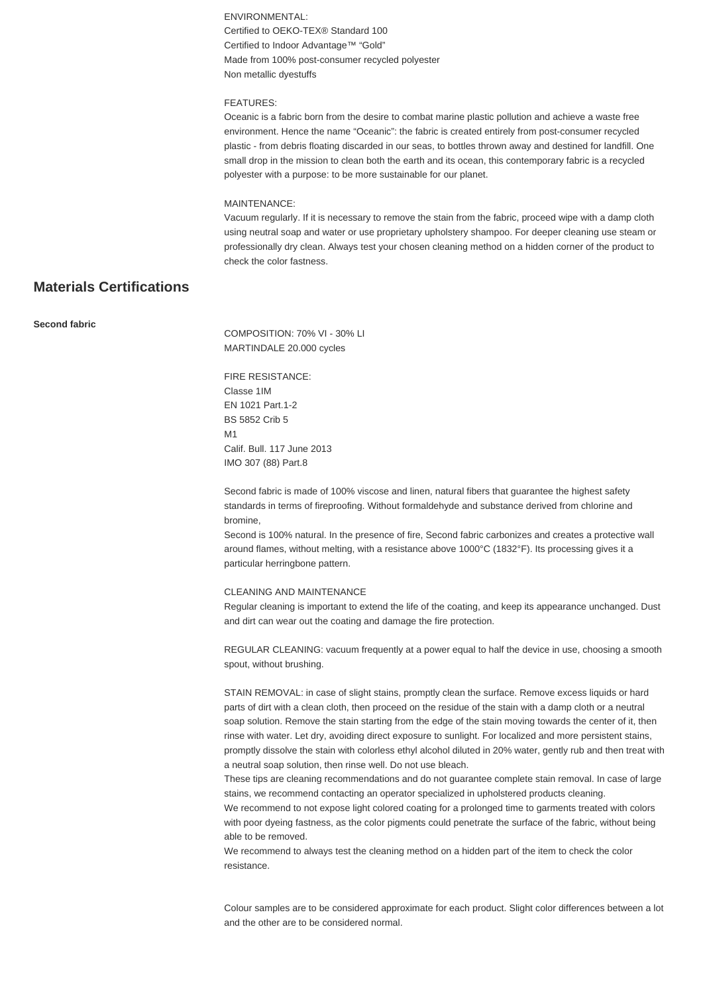ENVIRONMENTAL: Certified to OEKO-TEX® Standard 100 Certified to Indoor Advantage™ "Gold" Made from 100% post-consumer recycled polyester Non metallic dyestuffs

#### FEATURES:

Oceanic is a fabric born from the desire to combat marine plastic pollution and achieve a waste free environment. Hence the name "Oceanic": the fabric is created entirely from post-consumer recycled plastic - from debris floating discarded in our seas, to bottles thrown away and destined for landfill. One small drop in the mission to clean both the earth and its ocean, this contemporary fabric is a recycled polyester with a purpose: to be more sustainable for our planet.

#### MAINTENANCE:

Vacuum regularly. If it is necessary to remove the stain from the fabric, proceed wipe with a damp cloth using neutral soap and water or use proprietary upholstery shampoo. For deeper cleaning use steam or professionally dry clean. Always test your chosen cleaning method on a hidden corner of the product to check the color fastness.

#### **Materials Certifications**

**Second fabric**

COMPOSITION: 70% VI - 30% LI MARTINDALE 20.000 cycles

FIRE RESISTANCE: Classe 1IM EN 1021 Part.1-2 BS 5852 Crib 5 M<sub>1</sub> Calif. Bull. 117 June 2013 IMO 307 (88) Part.8

Second fabric is made of 100% viscose and linen, natural fibers that guarantee the highest safety standards in terms of fireproofing. Without formaldehyde and substance derived from chlorine and bromine,

Second is 100% natural. In the presence of fire, Second fabric carbonizes and creates a protective wall around flames, without melting, with a resistance above 1000°C (1832°F). Its processing gives it a particular herringbone pattern.

#### CLEANING AND MAINTENANCE

Regular cleaning is important to extend the life of the coating, and keep its appearance unchanged. Dust and dirt can wear out the coating and damage the fire protection.

REGULAR CLEANING: vacuum frequently at a power equal to half the device in use, choosing a smooth spout, without brushing.

STAIN REMOVAL: in case of slight stains, promptly clean the surface. Remove excess liquids or hard parts of dirt with a clean cloth, then proceed on the residue of the stain with a damp cloth or a neutral soap solution. Remove the stain starting from the edge of the stain moving towards the center of it, then rinse with water. Let dry, avoiding direct exposure to sunlight. For localized and more persistent stains, promptly dissolve the stain with colorless ethyl alcohol diluted in 20% water, gently rub and then treat with a neutral soap solution, then rinse well. Do not use bleach.

These tips are cleaning recommendations and do not guarantee complete stain removal. In case of large stains, we recommend contacting an operator specialized in upholstered products cleaning.

We recommend to not expose light colored coating for a prolonged time to garments treated with colors with poor dyeing fastness, as the color pigments could penetrate the surface of the fabric, without being able to be removed.

We recommend to always test the cleaning method on a hidden part of the item to check the color resistance.

Colour samples are to be considered approximate for each product. Slight color differences between a lot and the other are to be considered normal.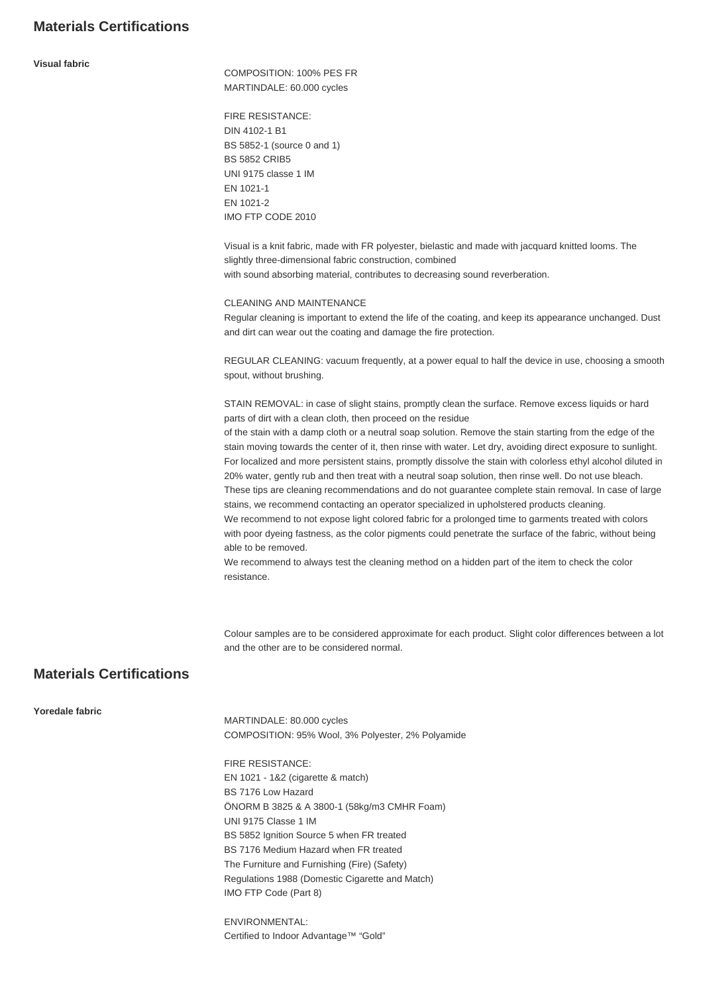#### **Materials Certifications**

#### **Visual fabric**

COMPOSITION: 100% PES FR MARTINDALE: 60.000 cycles

FIRE RESISTANCE: DIN 4102-1 B1 BS 5852-1 (source 0 and 1) BS 5852 CRIB5 UNI 9175 classe 1 IM EN 1021-1 EN 1021-2 IMO FTP CODE 2010

Visual is a knit fabric, made with FR polyester, bielastic and made with jacquard knitted looms. The slightly three-dimensional fabric construction, combined with sound absorbing material, contributes to decreasing sound reverberation.

#### CLEANING AND MAINTENANCE

Regular cleaning is important to extend the life of the coating, and keep its appearance unchanged. Dust and dirt can wear out the coating and damage the fire protection.

REGULAR CLEANING: vacuum frequently, at a power equal to half the device in use, choosing a smooth spout, without brushing.

STAIN REMOVAL: in case of slight stains, promptly clean the surface. Remove excess liquids or hard parts of dirt with a clean cloth, then proceed on the residue

of the stain with a damp cloth or a neutral soap solution. Remove the stain starting from the edge of the stain moving towards the center of it, then rinse with water. Let dry, avoiding direct exposure to sunlight. For localized and more persistent stains, promptly dissolve the stain with colorless ethyl alcohol diluted in 20% water, gently rub and then treat with a neutral soap solution, then rinse well. Do not use bleach. These tips are cleaning recommendations and do not guarantee complete stain removal. In case of large

stains, we recommend contacting an operator specialized in upholstered products cleaning. We recommend to not expose light colored fabric for a prolonged time to garments treated with colors with poor dyeing fastness, as the color pigments could penetrate the surface of the fabric, without being

able to be removed.

We recommend to always test the cleaning method on a hidden part of the item to check the color resistance.

Colour samples are to be considered approximate for each product. Slight color differences between a lot and the other are to be considered normal.

#### **Materials Certifications**

#### **Yoredale fabric**

MARTINDALE: 80.000 cycles COMPOSITION: 95% Wool, 3% Polyester, 2% Polyamide

FIRE RESISTANCE: EN 1021 - 1&2 (cigarette & match) BS 7176 Low Hazard ÖNORM B 3825 & A 3800-1 (58kg/m3 CMHR Foam) UNI 9175 Classe 1 IM BS 5852 Ignition Source 5 when FR treated BS 7176 Medium Hazard when FR treated The Furniture and Furnishing (Fire) (Safety) Regulations 1988 (Domestic Cigarette and Match) IMO FTP Code (Part 8)

ENVIRONMENTAL: Certified to Indoor Advantage™ "Gold"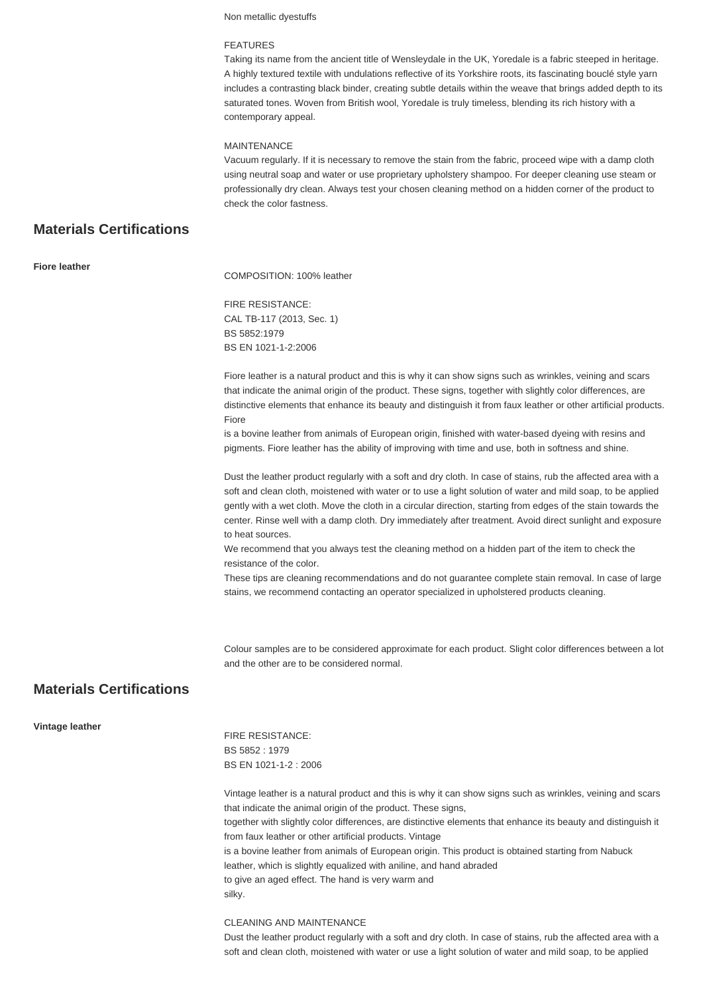Non metallic dyestuffs

#### FEATURES

Taking its name from the ancient title of Wensleydale in the UK, Yoredale is a fabric steeped in heritage. A highly textured textile with undulations reflective of its Yorkshire roots, its fascinating bouclé style yarn includes a contrasting black binder, creating subtle details within the weave that brings added depth to its saturated tones. Woven from British wool, Yoredale is truly timeless, blending its rich history with a contemporary appeal.

#### MAINTENANCE

Vacuum regularly. If it is necessary to remove the stain from the fabric, proceed wipe with a damp cloth using neutral soap and water or use proprietary upholstery shampoo. For deeper cleaning use steam or professionally dry clean. Always test your chosen cleaning method on a hidden corner of the product to check the color fastness.

#### **Materials Certifications**

| <b>Fiore leather</b>            | COMPOSITION: 100% leather                                                                                                                                                                                                                                                                                                                                                                                                                                                                                                                                                                          |
|---------------------------------|----------------------------------------------------------------------------------------------------------------------------------------------------------------------------------------------------------------------------------------------------------------------------------------------------------------------------------------------------------------------------------------------------------------------------------------------------------------------------------------------------------------------------------------------------------------------------------------------------|
|                                 | <b>FIRE RESISTANCE:</b><br>CAL TB-117 (2013, Sec. 1)<br>BS 5852:1979<br>BS EN 1021-1-2:2006                                                                                                                                                                                                                                                                                                                                                                                                                                                                                                        |
|                                 | Fiore leather is a natural product and this is why it can show signs such as wrinkles, veining and scars<br>that indicate the animal origin of the product. These signs, together with slightly color differences, are<br>distinctive elements that enhance its beauty and distinguish it from faux leather or other artificial products.<br>Fiore<br>is a bovine leather from animals of European origin, finished with water-based dyeing with resins and<br>pigments. Fiore leather has the ability of improving with time and use, both in softness and shine.                                 |
|                                 | Dust the leather product regularly with a soft and dry cloth. In case of stains, rub the affected area with a<br>soft and clean cloth, moistened with water or to use a light solution of water and mild soap, to be applied<br>gently with a wet cloth. Move the cloth in a circular direction, starting from edges of the stain towards the<br>center. Rinse well with a damp cloth. Dry immediately after treatment. Avoid direct sunlight and exposure<br>to heat sources.                                                                                                                     |
|                                 | We recommend that you always test the cleaning method on a hidden part of the item to check the<br>resistance of the color.                                                                                                                                                                                                                                                                                                                                                                                                                                                                        |
|                                 | These tips are cleaning recommendations and do not guarantee complete stain removal. In case of large<br>stains, we recommend contacting an operator specialized in upholstered products cleaning.                                                                                                                                                                                                                                                                                                                                                                                                 |
| <b>Materials Certifications</b> | Colour samples are to be considered approximate for each product. Slight color differences between a lot<br>and the other are to be considered normal.                                                                                                                                                                                                                                                                                                                                                                                                                                             |
|                                 |                                                                                                                                                                                                                                                                                                                                                                                                                                                                                                                                                                                                    |
| Vintage leather                 | <b>FIRE RESISTANCE:</b><br>BS 5852: 1979<br>BS EN 1021-1-2: 2006                                                                                                                                                                                                                                                                                                                                                                                                                                                                                                                                   |
|                                 | Vintage leather is a natural product and this is why it can show signs such as wrinkles, veining and scars<br>that indicate the animal origin of the product. These signs,<br>together with slightly color differences, are distinctive elements that enhance its beauty and distinguish it<br>from faux leather or other artificial products. Vintage<br>is a bovine leather from animals of European origin. This product is obtained starting from Nabuck<br>leather, which is slightly equalized with aniline, and hand abraded<br>to give an aged effect. The hand is very warm and<br>silky. |
|                                 | CLEANING AND MAINTENANCE                                                                                                                                                                                                                                                                                                                                                                                                                                                                                                                                                                           |

Dust the leather product regularly with a soft and dry cloth. In case of stains, rub the affected area with a soft and clean cloth, moistened with water or use a light solution of water and mild soap, to be applied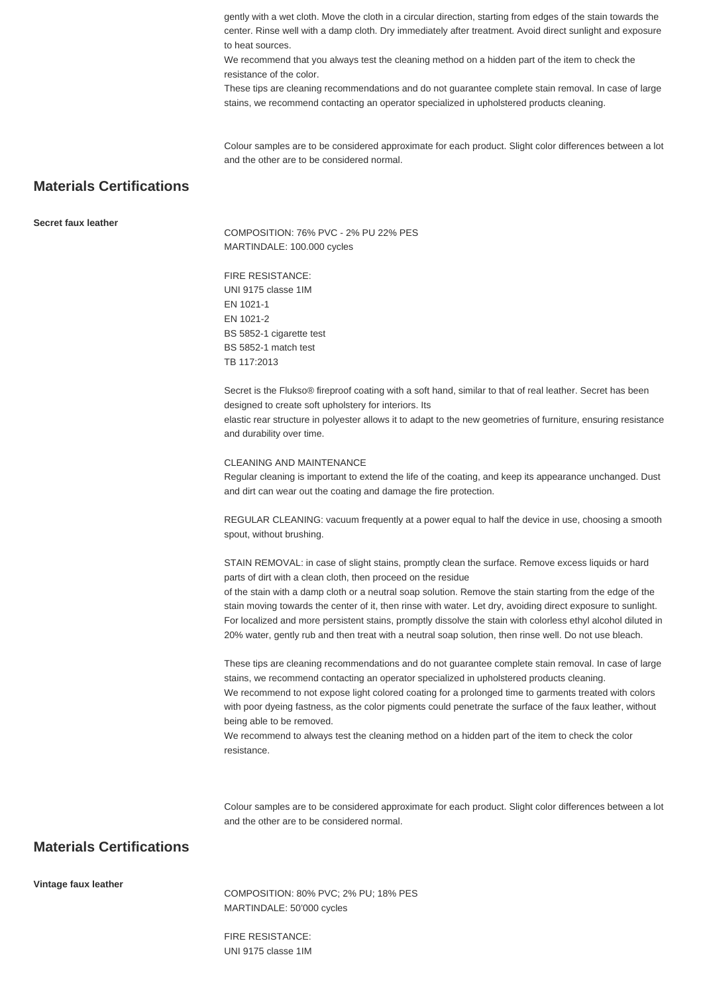gently with a wet cloth. Move the cloth in a circular direction, starting from edges of the stain towards the center. Rinse well with a damp cloth. Dry immediately after treatment. Avoid direct sunlight and exposure to heat sources.

We recommend that you always test the cleaning method on a hidden part of the item to check the resistance of the color.

These tips are cleaning recommendations and do not guarantee complete stain removal. In case of large stains, we recommend contacting an operator specialized in upholstered products cleaning.

Colour samples are to be considered approximate for each product. Slight color differences between a lot and the other are to be considered normal.

#### **Materials Certifications**

**Secret faux leather**

COMPOSITION: 76% PVC - 2% PU 22% PES MARTINDALE: 100.000 cycles

FIRE RESISTANCE: UNI 9175 classe 1IM EN 1021-1 EN 1021-2 BS 5852-1 cigarette test BS 5852-1 match test TB 117:2013

Secret is the Flukso® fireproof coating with a soft hand, similar to that of real leather. Secret has been designed to create soft upholstery for interiors. Its

elastic rear structure in polyester allows it to adapt to the new geometries of furniture, ensuring resistance and durability over time.

#### CLEANING AND MAINTENANCE

Regular cleaning is important to extend the life of the coating, and keep its appearance unchanged. Dust and dirt can wear out the coating and damage the fire protection.

REGULAR CLEANING: vacuum frequently at a power equal to half the device in use, choosing a smooth spout, without brushing.

STAIN REMOVAL: in case of slight stains, promptly clean the surface. Remove excess liquids or hard parts of dirt with a clean cloth, then proceed on the residue

of the stain with a damp cloth or a neutral soap solution. Remove the stain starting from the edge of the stain moving towards the center of it, then rinse with water. Let dry, avoiding direct exposure to sunlight. For localized and more persistent stains, promptly dissolve the stain with colorless ethyl alcohol diluted in 20% water, gently rub and then treat with a neutral soap solution, then rinse well. Do not use bleach.

These tips are cleaning recommendations and do not guarantee complete stain removal. In case of large stains, we recommend contacting an operator specialized in upholstered products cleaning. We recommend to not expose light colored coating for a prolonged time to garments treated with colors with poor dyeing fastness, as the color pigments could penetrate the surface of the faux leather, without being able to be removed.

We recommend to always test the cleaning method on a hidden part of the item to check the color resistance.

Colour samples are to be considered approximate for each product. Slight color differences between a lot and the other are to be considered normal.

#### **Materials Certifications**

**Vintage faux leather**

COMPOSITION: 80% PVC; 2% PU; 18% PES MARTINDALE: 50'000 cycles

FIRE RESISTANCE: UNI 9175 classe 1IM